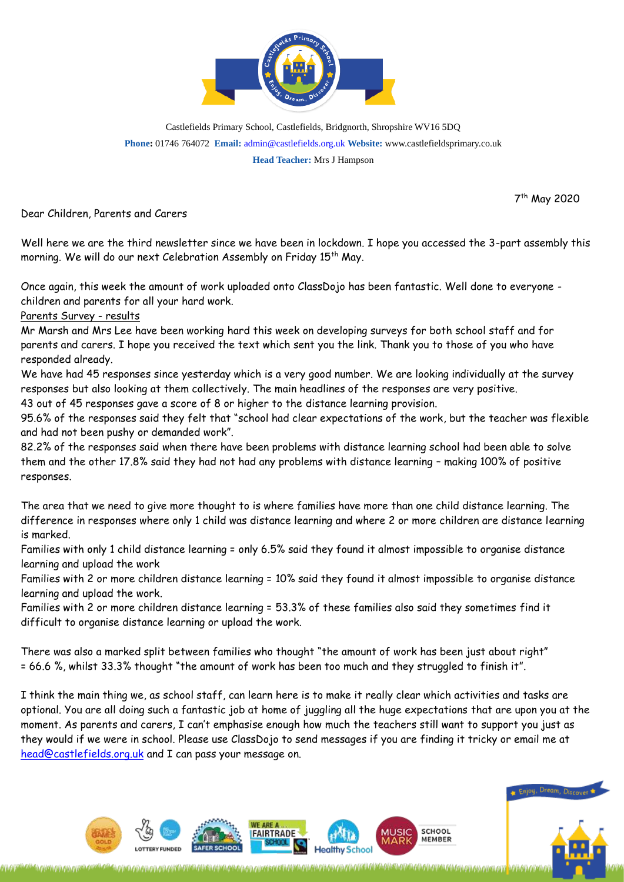

Castlefields Primary School, Castlefields, Bridgnorth, Shropshire WV16 5DQ **Phone:** 01746 764072 **Email:** [admin@castlefields.org.uk](mailto:admin@castlefields.org.uk) **Website:** www.castlefieldsprimary.co.uk **Head Teacher:** Mrs J Hampson

7 th May 2020

Dear Children, Parents and Carers

Well here we are the third newsletter since we have been in lockdown. I hope you accessed the 3-part assembly this morning. We will do our next Celebration Assembly on Friday 15<sup>th</sup> May.

Once again, this week the amount of work uploaded onto ClassDojo has been fantastic. Well done to everyone children and parents for all your hard work.

Parents Survey - results

Mr Marsh and Mrs Lee have been working hard this week on developing surveys for both school staff and for parents and carers. I hope you received the text which sent you the link. Thank you to those of you who have responded already.

We have had 45 responses since yesterday which is a very good number. We are looking individually at the survey responses but also looking at them collectively. The main headlines of the responses are very positive.

43 out of 45 responses gave a score of 8 or higher to the distance learning provision.

95.6% of the responses said they felt that "school had clear expectations of the work, but the teacher was flexible and had not been pushy or demanded work".

82.2% of the responses said when there have been problems with distance learning school had been able to solve them and the other 17.8% said they had not had any problems with distance learning – making 100% of positive responses.

The area that we need to give more thought to is where families have more than one child distance learning. The difference in responses where only 1 child was distance learning and where 2 or more children are distance learning is marked.

Families with only 1 child distance learning = only 6.5% said they found it almost impossible to organise distance learning and upload the work

Families with 2 or more children distance learning = 10% said they found it almost impossible to organise distance learning and upload the work.

Families with 2 or more children distance learning = 53.3% of these families also said they sometimes find it difficult to organise distance learning or upload the work.

There was also a marked split between families who thought "the amount of work has been just about right" = 66.6 %, whilst 33.3% thought "the amount of work has been too much and they struggled to finish it".

I think the main thing we, as school staff, can learn here is to make it really clear which activities and tasks are optional. You are all doing such a fantastic job at home of juggling all the huge expectations that are upon you at the moment. As parents and carers, I can't emphasise enough how much the teachers still want to support you just as they would if we were in school. Please use ClassDojo to send messages if you are finding it tricky or email me at [head@castlefields.org.uk](mailto:head@castlefields.org.uk) and I can pass your message on.



SCHOOL

**MEMBER** 

lealthy Schoo

WE ARE

**IFAIRTRADE**